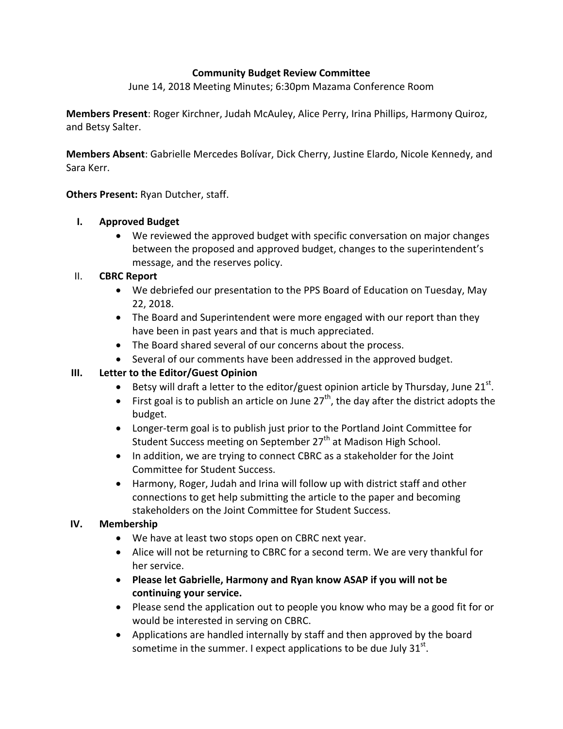### **Community Budget Review Committee**

June 14, 2018 Meeting Minutes; 6:30pm Mazama Conference Room

**Members Present**: Roger Kirchner, Judah McAuley, Alice Perry, Irina Phillips, Harmony Quiroz, and Betsy Salter.

**Members Absent**: Gabrielle Mercedes Bolívar, Dick Cherry, Justine Elardo, Nicole Kennedy, and Sara Kerr.

**Others Present:** Ryan Dutcher, staff.

#### **I. Approved Budget**

 We reviewed the approved budget with specific conversation on major changes between the proposed and approved budget, changes to the superintendent's message, and the reserves policy.

### II. **CBRC Report**

- We debriefed our presentation to the PPS Board of Education on Tuesday, May 22, 2018.
- The Board and Superintendent were more engaged with our report than they have been in past years and that is much appreciated.
- The Board shared several of our concerns about the process.
- Several of our comments have been addressed in the approved budget.

# **III. Letter to the Editor/Guest Opinion**

- **Betsy will draft a letter to the editor/guest opinion article by Thursday, June 21**<sup>st</sup>.
- First goal is to publish an article on June  $27<sup>th</sup>$ , the day after the district adopts the budget.
- Longer-term goal is to publish just prior to the Portland Joint Committee for Student Success meeting on September 27<sup>th</sup> at Madison High School.
- In addition, we are trying to connect CBRC as a stakeholder for the Joint Committee for Student Success.
- Harmony, Roger, Judah and Irina will follow up with district staff and other connections to get help submitting the article to the paper and becoming stakeholders on the Joint Committee for Student Success.

# **IV. Membership**

- We have at least two stops open on CBRC next year.
- Alice will not be returning to CBRC for a second term. We are very thankful for her service.
- **Please let Gabrielle, Harmony and Ryan know ASAP if you will not be continuing your service.**
- Please send the application out to people you know who may be a good fit for or would be interested in serving on CBRC.
- Applications are handled internally by staff and then approved by the board sometime in the summer. I expect applications to be due July  $31^{st}$ .